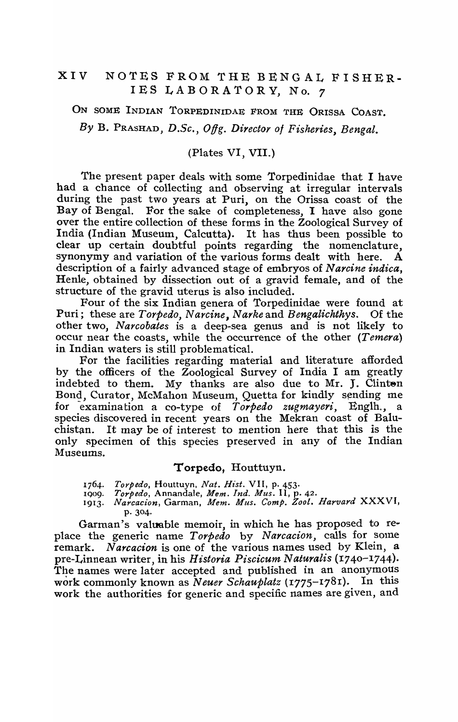# XIV NOTES FROM THE BENGAL FISHER-IES LABORATORY, No. 7

ON SOME INDIAN TORPEDINIDAE FROM THE ORISSA COAST. By B. PRASHAD, D.Sc., Offg. Director of Fisheries, Bengal.

#### (Plates VI, VII.)

The present paper deals with some Torpedinidae that I have had a chance of collecting and observing at irregular intervals during the past two years at Puri, on the Orissa coast of the Bay of Bengal. For the sake of completeness, I have also gone over the entire collection of these forms in the Zoological Survey of India (Indian Museum, Calcutta). It has thus been possible to clear up certain doubtful points regarding the nomenclature, synonymy and variation of the various forms dealt with here.  $\dot{A}$ description of a fairly advanced stage of embryos of *N arcine indica,*  Henle, obtained by dissection out of a gravid female, and of the structure of the gravid uterus is also included.

Four of the six Indian genera of Torpedinidae were found at Puri; these are *Torpedo, Narcine, Narke* and *Bengalichthys.* Of the other two, *Narcobates* is a deep-sea genus and is not likely to occur near the coasts, while the occurrence of the other *(Temera)*  in Indian waters is still problematical.

For the facilities regarding material and literature afforded by the officers of the Zoological Survey of India I am greatly indebted to them. My thanks are also due to Mr. J. Clinten Bond, Curator, McMahon Museum, Quetta for kindly sending me for examination a co-type of *Torpedo zugmayeri*, Englh., a species discovered in recent years on the Mekran coast of Baluchistan. It may be of interest to mention here that this is the only specimen of this species preserved in any of the Indian Museums.

#### Torpedo, Houttuyn.

- *1764. Torpedo,* Houttuyn. *Nat. Ht'st.* VII, p. 453.
- IQo9. *Torpedo,* Annandale, *Mem. Ind. Mus.* II, p. 42.
- 1913. *Narcacion, Garman, Mem. Mus. Comp. Zool. Harvard XXXVI,* p. 304.

Garman's valuable memoir, in which he has proposed to replace the generic name *Torpedo* by *Narcacion*, calls for some remark. *Narcacion* is one of the various names used by Klein, a pre-Linnean writer, in his *Historia Piscicum Naturalis* (1740-1744). The names were later accepted and published in an anonymous work commonly known as *Neuer Schauplatz* (1775-1781). In this work the authorities for generic and specific names are given, and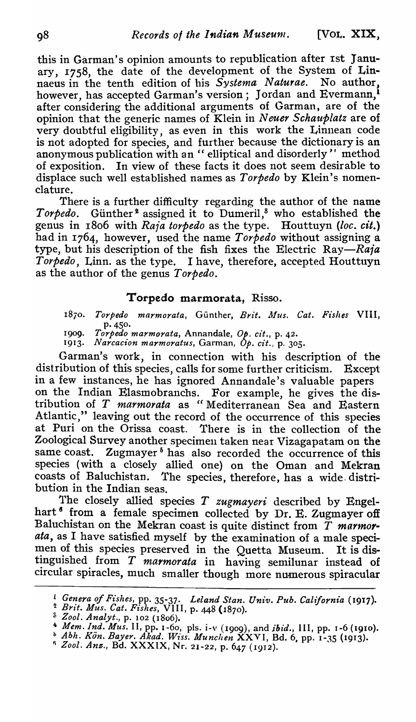this in Garman's opinion amounts to republication after 1st January, 1758, the date of the development of the System of Linnaeus in the tenth edition of his *Systema Naturae.* No author, however, has accepted Garman's version; Jordan and Evermann,<sup>1</sup> after considering the additional arguments of Garman, are of the opinion that the generic names of Klein in *Neuer Schauplatz* are of very doubtful eligibility, as even in this work the Linnean code is not adopted for species, and further because the dictionary is an anonymous publication with an " elliptical and disorderly" method of exposition. In view of thec;e facts it does not *seem* desirable to displace such well established names as *Torpedo* by Klein's nomenclature.

There is a further difficulty regarding the author of the name Torpedo. Günther<sup>2</sup> assigned it to Dumeril,<sup>8</sup> who established the genus in 1806 with *Raia torpedo* as the type. Houttuyn *(loc. cit.)*  had in 1764, however, used the name *Torpedo* without assigning a type, but his description of the fish fixes the Electric *Ray-Raia Torpedo, Linn.* as the type. I have, therefore, accepted Houttuyn as the author of the genus *Torpedo.* 

## Torpedo marmorata. Risso.

1870. Torpedo marmorata, Günther, *Brit. Mus. Cat. Fishes* VIII, P·45°·

190**9.** *Torpedo marmorata*, Annandale, *Op. cit.*, p. 42.

1913. Narcacion marmoratus, Garman, Op. cit., p. 305.

Garman's work, in connection with his description of the distribution of this species, calls for some further criticism. Except in a few instances, he has ignored Annandale's valuable papers on the Indian Elasmobranchs. For example, he gives the distribution of *T marmorata* as "Mediterranean Sea and Eastern Atlantic," leaving out the record of the occurrence of this species at Puri on the Orissa coast. There is in the collection of the Zoological Survey another specimen taken near Vizagapatam on the same coast. Zugmayer<sup>5</sup> has also recorded the occurrence of this species (with a closely allied one) on the Oman and Mekran coasts of Baluchistan. The species, therefore, has a wide. distribution in the Indian seas.

1'he closely allied species T *zugmayeri* described by Engelhart<sup>6</sup> from a female specimen collected by Dr. E. Zugmayer off Baluchistan on the Mekran coast is quite distinct from T *marmorala,* as I have satisfied myself by the examination of a male specimen of this species preserved in the Quetta Museum. It is distinguished from  $T$  *marmorata* in having semilunar instead of circular spiracles, much smaller thougb more numerous spiracular

<sup>&</sup>lt;sup>1</sup> Genera of Fishes, pp. 35-37. *Leland Stan. Univ. Pub. California* (1917).

<sup>&</sup>lt;sup>2</sup> *Brit. Mus. Cat. Fishes, VIII, p. 448 (1870).*<br><sup>3</sup> *Zool. Analyt., p. 102 (1806).* 

<sup>&</sup>lt;sup>4</sup> *Mem. Ind. Mus. II, pp. 1-60, pls. i-v (1909), and <i>ibid., III, pp. 1-6 (1910).* 

<sup>~</sup>*Abh. Kon. Bayer. Akad. Wiss. Munchen* XXVI, Bd. 6, pp. I-J5 (1913).

I) *Zool. Ans.,* Bd. XXXIX, Nr. 21-22, p. 647 (1912).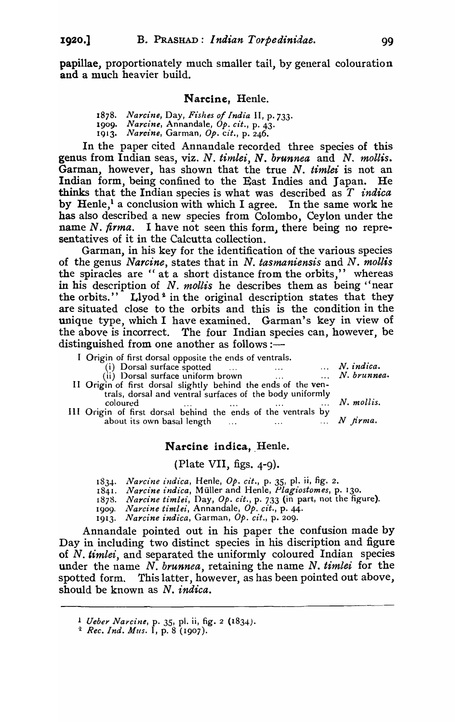papillae, proportionately much smaller tail, by general colouration and a much heavier build.

#### Narcine. Henle.

*1878. Nardne,* Day, *Ft'shes of India* II, P.733.

1909. Narcine, Annandale, *Op. cit.*, p. 43.

1913. Narcine, Garman, Op. cit., p. 246.

In the paper cited Annandale recorded three species of this genus from Indian seas, viz. *N. timlei, N. brunnea* and N. *mollis.*  Garman, however, has shown that the true N. *timlei* is not an Indian form, being confined to the East Indies and Japan. He thinks that the Indian species is what was described as *T indica*  by Henle,<sup>1</sup> a conclusion with which I agree. In the same work he has also described a new species from Colombo, Ceylon under the name N. *firma*. I have not seen this form, there being no representatives of it in the Calcutta collection.

Garman, in his key for the identification of the various species of the genus *Narcine,* states that in N. *tasmaniensis* and N. *moll;,s*  the spiracles are "at a short distance from the orbits," whereas in his description of N. *mollis* he describes them as being "near the orbits." Llyod<sup>2</sup> in the original description states that they are situated close to the orbits and this is the condition in the unique type, which I have examined. Garman's key in view of the above is incorrect. The four Indian species can, however, be distinguished from one another as follows :—

I Origin of first dorsal opposite the ends of ventraIs.

(i) Dorsal surface spotted ... ... ... *N. indica.*<br>
(i) Dorsal surface uniform brown ... ... *N. brunnea.* (ii) Dorsal surface uniform brown **N. brunness** ...

- II Origin of first dorsal slightly behind the ends of the ventrals, dorsal and ventral surfaces of the body uniformly coloured *N. mollis.*  III Origin of first dorsal behind the ends of the ventrals by
- about its own basal length  $\ldots$   $\ldots$   $\ldots$   $N$  *firma.*

#### Narcine indica, Henle.

#### (Plate VII, figs. 4-9).

- *183..... Narcine indica,* Henle, Op. *cit.,* p. 35, pI. ii, fig. 2.
- 1841. *Na1'cine indica,* Muller and Henle, *Plagiostomes,* p. 130.
- *1878. Na1'cine timlei,* Day, Op. *cit.,* p. 733 (in part, not the figure).
- 1909. *Narcine timlei,* Annandale, Op. *cit.,* p. 44.
- 1913. *Na1'cine indica,* Garman, Op. *cit.,* p. 209.

Annandale pointed out in his paper the confusion made by Day in including two distinct species in his discription and figure of N. *timlei,* and separated the uniformly coloured Indian species under the name N. *brunnea*, retaining the name N. *timlei* for the spotted form. This latter, however, as has been pointed out above, should be known as N. *indica.* 

<sup>1</sup> *Ueber Narcine,* p. 35, pI. ii, fig. 2 (1834).

<sup>~</sup> *Rec. Ind. Mus.* I, p. 8 (1907).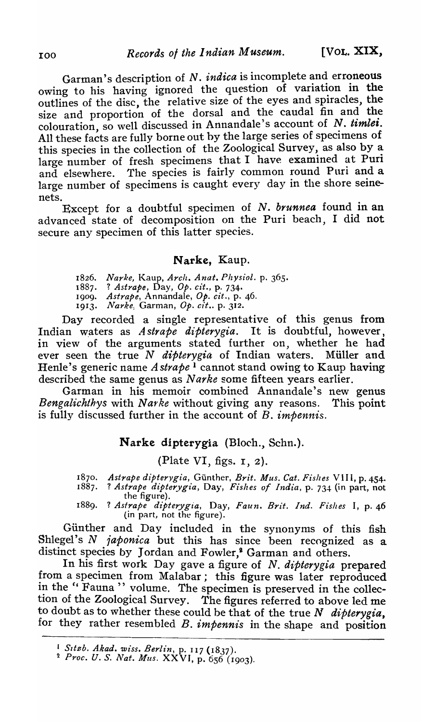Garman's description of N. *indica* is incomplete and erroneous owing to his having ignored the question of variation in the outlines of the disc, the relative size of the eyes and splracles, the size and proportion of the dorsal and the caudal fin and the colouration, so well discussed in Annandale's account of  $N$ . timlei. All these facts are fully borne out by the large series of specimens of this species in the collection of the Zoological Survey, as also by a large number of fresh specimens that  $I$  have examined at Puri and elsewhere. The species is fairly common round Puri and a large number of specimens is caught every day in the shore seinenets.

Except for a doubtful specimen of *N. brunnea* found in an advanced state of decomposition on the Puri beach, I did not secure any specimen of this latter species.

# Narke. Kaup.

*1826. Narke}* Kaup, *Arch. Anat. Physiol.* p. 365. 1887. ? *Astrape,* Day, *Ope cit.,* p. 734. 1909. *Astrape*, Annandale, Op. cit., p. 46. 1913. *Narke*, Garman, Op. cit.. p. 312.

Day recorded a single representative of this genus from Indian waters as Astrape dipterygia. It is doubtful, however, in view of the arguments stated further on, whether he had ever seen the true N *dipterygia* of Indian waters. Müller and Henle's generic name *Astrape* 1 cannot stand owing to Kaup having described the same genus as *Narke* some fifteen years earlier.

Garman in his memoir combined Annandale's new genus *Bengalichthys* with *Na1'ke* without giving any reasons. This point is fully discussed further in the account of B. *impennis*.

## Narke dipterygia (Bloch., Schn.).

(Plate VI, figs. r, 2).

- 1870. *Astrape dipterygia, Günther, Brit. Mus. Cat. Fishes VIII, p. 454.*<br>1887. *? Astrape dipterygia, Day, Fishes of India, p. 734 (in part, not* 1887. ? *Astrape d£pterygz'a,* Day, *Fishes of ind£a,* p. 734 (in part, not the figure).
- 1889. ? *Asfrape dipterygia,* Day, *Faun. Brit. Ind. Fishes* I, P.46 (in part) not the figure).

Günther and Day included in the synonyms of this fish Shlegel's N *japonica* but this has since been recognized as a distinct species by Jordan and Fowler,<sup>2</sup> Garman and others.

In his first work Day gave a figure of *N. dipterygia* prepared from a specimen from Malabar; this figure was later reproduced in the " Fauna " volume. The specimen is preserved in the collection of the Zoological Survey. The figures referred to above led me to doubt as to whether these could be that of the true *N dipterygia,*  for they rather resembled B. *impennis* in the shape and position

<sup>&</sup>lt;sup>1</sup> Sitzb. Akad. wiss. Berlin, p. 117 (1837).

<sup>2</sup> *Proc. U.* S. *Nat. Mus.* XXVI, p. 656 (1903).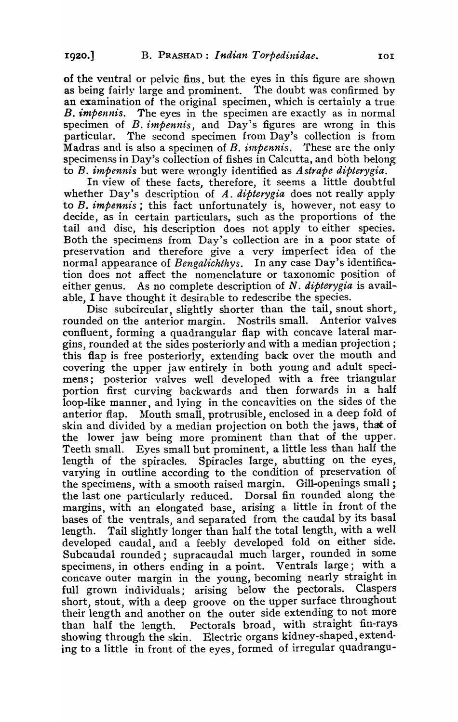of the ventral or pelvic fins, but the eyes in this figure are shown as being fairly large and prominent. The doubt was confirmed by an examination of the original specimen, which is certainly a true *B. impennis.* The eyes in the specimen are exactly as in normal specimen of *B. impennis,* and Day's figures are wrong in this particular. The second specimen from Day's collection is from Madras and is also a specimen of *B. impennis*. These are the only specimenss in Day's collection of fishes in Calcutta, and both belong to B. *imp ennis* but were wrongly identified as *Astrape dipterygia.* 

In view of these facts, therefore, it seems a little doubtful whether Day's description of *A. dipterygia* does not really apply to *B. impennis;* this fact unfortunately is, however, not easy to decide, as in certain particulars, such as the proportions of the tail and disc, his description does not apply to either species. Both the specimens from Day's collection are in a poor state of preservation and therefore give a very imperfect idea of the normal appearance of *Bengalichthys.* In any case Day's identification does not affect the nomenclature or taxonomic position of either genus. As no complete description of N. *dipterygia* is available, I have thought *it* desirable to redescribe the species.

Disc subcircular, slightly shorter than the tail, snout short, rounded on the anterior margin. Nostrils small. Anterior valves confluent, forming a quadrangular flap with concave lateral margins) rounded at the sides posteriorly and with a median projection; this flap is free posteriorly, extending back over the mouth and covering the upper jaw entirely *in* both young and adult specimens; posterior valves well developed with a free triangular portion first curving backwards and then forwards in a half loop-like manner, and lying in the concavities on the sides of the anterior flap. Mouth small, protrusible, enclosed in a deep fold of skin and divided by a median projection on both the jaws, that of the lower jaw being more prominent than that of the upper. Teeth small. Eyes small but prominent, a little less than half the length of the spiracles. Spiracles large, abutting on the eyes, varying in outline according to the condition of preservation of the specimens, with a smooth raised margin. Gill-openings small: the last one particularly reduced. Dorsal fin rounded along the margins, with an elongated base, arising a little in front of the bases of the ventrals, and separated from the caudal by its basal length. Tail slightly longer than half the total length, with a well developed caudal, and a feebly developed fold on either side. Subcaudal rounded; supracaudal much larger, rounded in some specimens, in others ending in a point. Ventrals large; with a concave outer margin in the young, becoming nearly straight in full grown individuals; arising below the pectorals. Claspers short, stout, with a deep groove on the upper surface throughout their length and another on the outer side extending to not more than half the length. Pectorals broad, with straight fin-rays showing through the skin. Electric organs kidney-shaped, extending to a little in front of the eyes, formed of irregular quadrangu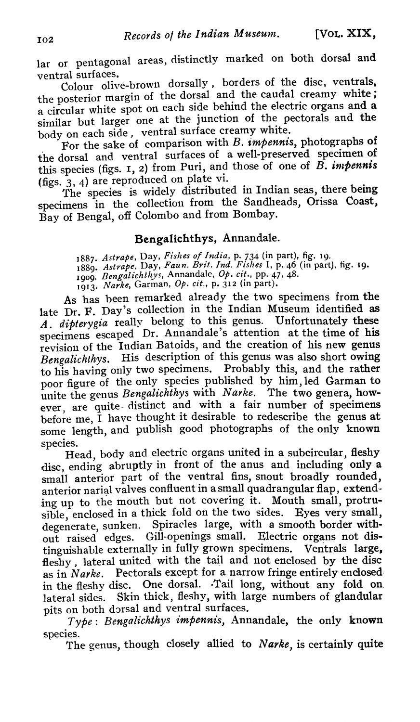lar or pentagonal areas, distinctly marked on both dorsal and ventral surfaces.

Colour olive-brown dorsally, borders of the disc, ventrals, the posterior margin of the dorsal and the caudal creamy white; a circular white spot on each side behind the electric organs and a similar but larger one at the junction of the pectorals and the body on each side, ventral surface creamy white.

For the sake of comparison with B. *impennis,* photographs of the dorsal and ventral surfaces of a well-preserved specimen of this species (figs.  $I$ ,  $2$ ) from Puri, and those of one of  $\overrightarrow{B}$ . *impennis* (figs. 3, 4) are reproduced on plate vi.

The species is widely distributed in Indian seas, there being specimens in the collection from the Sandheads, Orissa Coast, Bay of Bengal, off Colombo and from Bombay.

# Bengalichthys, Annandale.

*1887. Astrape,* Day, *Fishes of India,* p. 734 (in part), fig. 19. *1889. Astrape.* Day, *Faun. Brit. Ind. Fishes* I, p. 46 (in part). fig. 19. 1<sub>000.</sub> Bengalichthys, Annandale, Op. cit., pp. 47, 48. 191*3. Narke,* Garman, *Ope cit.,* p. 312 (in part).

As has been remarked already the two specimens from the late Dr. F. Day's collection in the Indian Museum identified as A. dipterygia really belong to this genus. Unfortunately these specimens escaped Dr. Annandale's attention at the time of his revision of the Indian Batoids, and the creation of his new genus *Bengalichthys.* His description of this genus was also short owing to his having only two specimens. Probably this, and the rather poor figure of the only species published by him, led Garman to unite the genus *Bengalichthys* with *Narke*. The two genera, however, are quite-distinct and with a fair number of specimens before me, I have thought it desirable to redescribe the genus at some length, and publish good photographs of the only known<br>species. Head, body and electric organs united in a subcircular, fleshy

disc, ending abruptly in front of the anus and including only a small anterior part of the ventral fins, snout broadly rounded, anterior narial valves confluent in a small quadrangular flap, extending up to the mouth but not covering it. Mouth small, protrusible, enclosed in a thick fold on the two sides. Eyes very small, degenerate, sunken. Spiracles large, with a smooth border with-.out raised edges. Gill-openings small. Electric organs not distinguishable externally in fully grown specimens. Ventrals large, fleshy, lateral united with the tail and not enclosed by the disc as in Narke. Pectorals except for a narrow fringe entirely enclosed in the fleshy disc. One dorsal. ·Tail long, without any fold on. lateral sides. Skin thick, fleshy, with large numbers of glandular pits on both dorsal and ventral surfaces.

*Type: Bengalichthys impennis, Annandale, the only known* species.

The genus, though closely allied to *Narke,* is certainly quite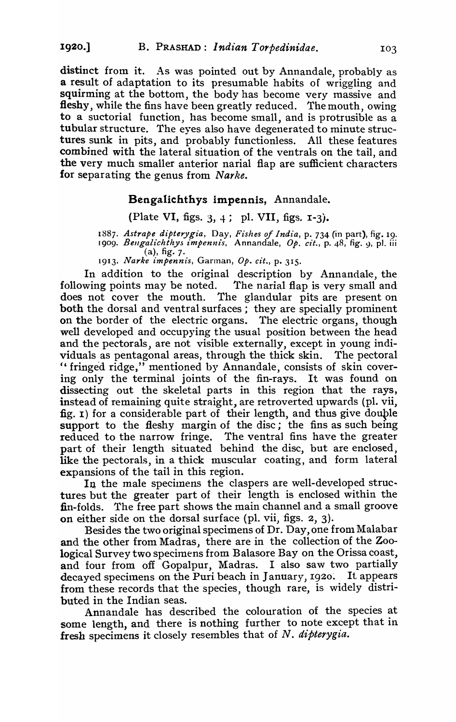distinct from it. As was pointed out by Annandale, probably as a result of adaptation to its presumable habits of wriggling and squirming at the bottom, the body has become very massive and fleshy, while the fins have been greatly reduced. The mouth, owing to a suctorial function, has become small, and is protrusible as a tubular structure. The eyes also have degenerated to minute structures sunk in pits, and probably functionless. All these features combined with the lateral situation of the ventrals on the tail, and the very much smaller anterior narial flap are sufficient characters for separating the genus from *Narke.* 

#### Bengalichthys impennis, Annandale.

## (Plate VI, figs. 3, 4; pl. VII, figs.  $1-3$ ).

188*7. Astrape dipterygia,* Day, *Fishes of India,* p. 734 (in part), fig. 19. 1909. *Bengalichthys impennis*, Annandale, Op. cit., p. 48, fig. 9, pl. iii  $(a)$ , fig. 7.

1913. *Narke impennis,* Garman, *Ope cit.,* p. 315.

In addition to the original description by Annandale, the following points may be noted. The narial flap is very small and does not cover the mouth. The glandular pits are present on both the dorsal and ventral surfaces; they are specially prominent on the border of the electric organs. The electric organs, though well developed and occupying the usual position between the head and the pectorals, are not visible externally, except in young individuals as pentagonal areas, through the thick skin. The pectoral " fringed ridge," mentioned by Annandale, consists of skin covering only the terminal joints of the fin-rays. It was found on dissecting out the skeletal parts in this region that the rays, instead of remaining quite straight, are retroverted upwards (pI. vii, fig.  $I$ ) for a considerable part of their length, and thus give double support to the fleshy margin of the disc; the fins as such being reduced to the narrow fringe. The ventral fins have the greater part of their length situated behind the disc, but are enclosed, like the pectorals, in a thick muscular coating, and form lateral expansions of the tail in this region.

In the male specimens the claspers are well-developed structures but the greater part of their length is enclosed within the fin-folds. The free part shows the main channel and a small groove on either side on the dorsal surface (pI. vii, figs. 2, 3).

Besides the two original specimens of Dr. Day, one from Malabar and the other from Madras, there are in the collection of the Zoological Survey two specimens from Balasore Bay on the Orissa coast, and four from off Gopalpur, Madras. I also saw two partially decayed specimens on the Puri beach in January, 1920. It appears from these records that the species, though rare, is widely distributed in the Indian seas.

Annandale has described the colouration of the species at some length, and there is nothing further to note except that in fresh specimens it closely resembles that of *N. dipterygia*.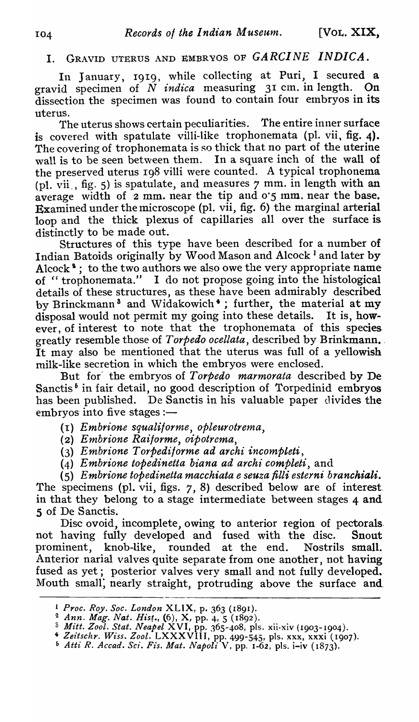# I. GRAVID UTERUS AND EMBRYOS OF *GARCINE INDICA.*

In January, 1919, while collecting at Puri, I secured a gravid specimen of N *indica* measuring 31 cm. in length. On dissection the specimen was found to contain four embryos in its uterus.

The uterus shows certain peculiarities. The entire inner surface is covered with spatulate villi-like trophonemata (pl. vii, fig. 4). The covering of trophonemata is so thick that no part of the uterine wall is to be seen between them. In a square inch of the wall of the preserved uterus Ig8 villi were counted. A typical trophonema (pl. vii., fig. 5) is spatulate, and measures  $7$  mm. in length with an average width of 2 mm. near the tip and 0·5 mm. near the base. Examined under the microscope (pI. vii, fig. 6) the marginal arterial loop and the thick plexus of capillaries all over the surface is distinctly to be made out.

Structures of this type have been described for a number of Indian Batoids originally by Wood Mason and Alcock 1 and later by Alcock<sup>9</sup>; to the two authors we also owe the very appropriate name of "trophonemata." I do not propose going into the histological details of these structures, as these have been admirably described by Brinckmann<sup>3</sup> and Widakowich<sup>4</sup>; further, the material at my disposal would not permit my going into these details. It is, howdisposal would not permit my going into these details. ever, of interest to note that the trophonemata of this species. greatly resemble those of *Torpedo ocellata,* described by Brinkmann ... It may also be mentioned that the uterus was full of a yellowish milk-like secretion in which the embryos were enclosed.

But for' the embryos of *Torpedo marmorata* described by De Sanctis<sup>6</sup> in fair detail, no good description of Torpedinid embryos has been published. De Sanctis in his valuable paper divides the embryos into five stages :-

*(I) Embrione squalitorme, opleurotrema,* 

- (2) *Etnbrione Raijorme, oipotrema,*
- {3} *Embrione Torpediforme ad archi incompteti,*
- (4) *Embrione topedinetta biana ad archi completi, and*

(S) *Embrione topedinetta macchiata e seuza* filli *esterni branchiali.* 

The specimens (pI. vii, figs. 7, 8) described below are of interest. in that they belong to a stage intermediate between stages 4 and 5 of De Sanctis.

Disc ovoid, incomplete, owing to anterior region of pectorals. not having fully developed and fused with the disc. Snout prominent, knob-like, rounded at the end. Nostrils small. Anterior narial valves quite separate from one another, not having fused as yet; posterior valves very small and not fully developed. Mouth small, nearly straight, protruding above the surface and

<sup>L</sup>*Proc. Roy. Soc. London* XLIX, p. 363 (1891).

<sup>2</sup>*Ann. Mag. Nat. Hist.,* (6), X, pp. 4,5 (1892).

<sup>(,</sup> *Mitt. Zool. Stat. Neapel* XVI, pp. 365-408, pis. xii·xiv (19°3-19°4).

<sup>4</sup>*Zeitschr. Wiss. Zool.* LXXXVIII, pp. 499-545, pis. xxx, xxxi (1907).

<sup>6</sup>*Atti R. Accad. Sci. Fis. Mat. Napoli* V, pp. 1-62, pis. i-iv ( 1873).